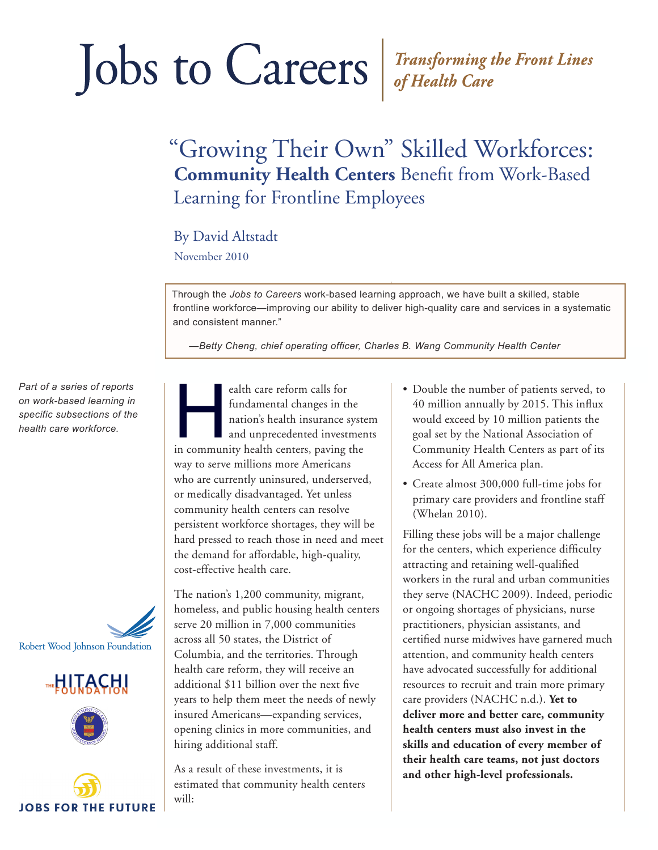# Jobs to Careers Fransforming the Front Lines

## "Growing Their Own" Skilled Workforces: **Community Health Centers** Benefit from Work-Based Learning for Frontline Employees

#### By David Altstadt

November 2010

Through the *Jobs to Careers* work-based learning approach, we have built a skilled, stable frontline workforce—improving our ability to deliver high-quality care and services in a systematic and consistent manner."

*—Betty Cheng, chief operating officer, Charles B. Wang Community Health Center*

*Part of a series of reports on work-based learning in specific subsections of the health care workforce.*









ealth care reform calls for<br>
fundamental changes in the<br>
nation's health insurance syste<br>
and unprecedented investmer<br>
in community health centers, paving the fundamental changes in the nation's health insurance system and unprecedented investments way to serve millions more Americans who are currently uninsured, underserved, or medically disadvantaged. Yet unless community health centers can resolve persistent workforce shortages, they will be hard pressed to reach those in need and meet the demand for affordable, high-quality, cost-effective health care.

The nation's 1,200 community, migrant, homeless, and public housing health centers serve 20 million in 7,000 communities across all 50 states, the District of Columbia, and the territories. Through health care reform, they will receive an additional \$11 billion over the next five years to help them meet the needs of newly insured Americans—expanding services, opening clinics in more communities, and hiring additional staff.

As a result of these investments, it is estimated that community health centers will:

- Double the number of patients served, to 40 million annually by 2015. This influx would exceed by 10 million patients the goal set by the National Association of Community Health Centers as part of its Access for All America plan.
- Create almost 300,000 full-time jobs for primary care providers and frontline staff (Whelan 2010).

Filling these jobs will be a major challenge for the centers, which experience difficulty attracting and retaining well-qualified workers in the rural and urban communities they serve (NACHC 2009). Indeed, periodic or ongoing shortages of physicians, nurse practitioners, physician assistants, and certified nurse midwives have garnered much attention, and community health centers have advocated successfully for additional resources to recruit and train more primary care providers (NACHC n.d.). **Yet to deliver more and better care, community health centers must also invest in the skills and education of every member of their health care teams, not just doctors and other high-level professionals.**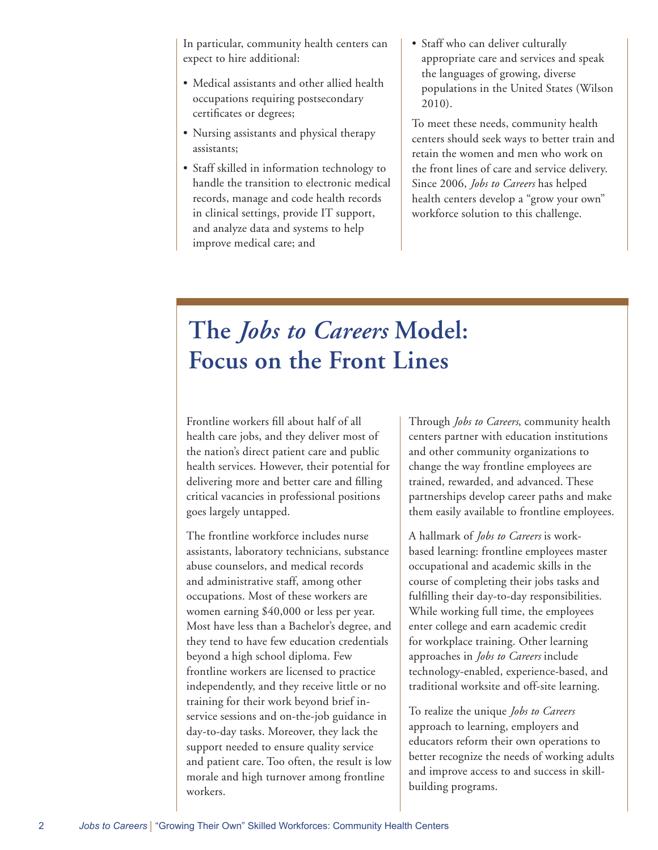In particular, community health centers can expect to hire additional:

- Medical assistants and other allied health occupations requiring postsecondary certificates or degrees;
- Nursing assistants and physical therapy assistants;
- Staff skilled in information technology to handle the transition to electronic medical records, manage and code health records in clinical settings, provide IT support, and analyze data and systems to help improve medical care; and
- Staff who can deliver culturally appropriate care and services and speak the languages of growing, diverse populations in the United States (Wilson 2010).

To meet these needs, community health centers should seek ways to better train and retain the women and men who work on the front lines of care and service delivery. Since 2006, *Jobs to Careers* has helped health centers develop a "grow your own" workforce solution to this challenge.

## **The** *Jobs to Careers* **Model: Focus on the Front Lines**

Frontline workers fill about half of all health care jobs, and they deliver most of the nation's direct patient care and public health services. However, their potential for delivering more and better care and filling critical vacancies in professional positions goes largely untapped.

The frontline workforce includes nurse assistants, laboratory technicians, substance abuse counselors, and medical records and administrative staff, among other occupations. Most of these workers are women earning \$40,000 or less per year. Most have less than a Bachelor's degree, and they tend to have few education credentials beyond a high school diploma. Few frontline workers are licensed to practice independently, and they receive little or no training for their work beyond brief inservice sessions and on-the-job guidance in day-to-day tasks. Moreover, they lack the support needed to ensure quality service and patient care. Too often, the result is low morale and high turnover among frontline workers.

Through *Jobs to Careers*, community health centers partner with education institutions and other community organizations to change the way frontline employees are trained, rewarded, and advanced. These partnerships develop career paths and make them easily available to frontline employees.

A hallmark of *Jobs to Careers* is workbased learning: frontline employees master occupational and academic skills in the course of completing their jobs tasks and fulfilling their day-to-day responsibilities. While working full time, the employees enter college and earn academic credit for workplace training. Other learning approaches in *Jobs to Careers* include technology-enabled, experience-based, and traditional worksite and off-site learning.

To realize the unique *Jobs to Careers* approach to learning, employers and educators reform their own operations to better recognize the needs of working adults and improve access to and success in skillbuilding programs.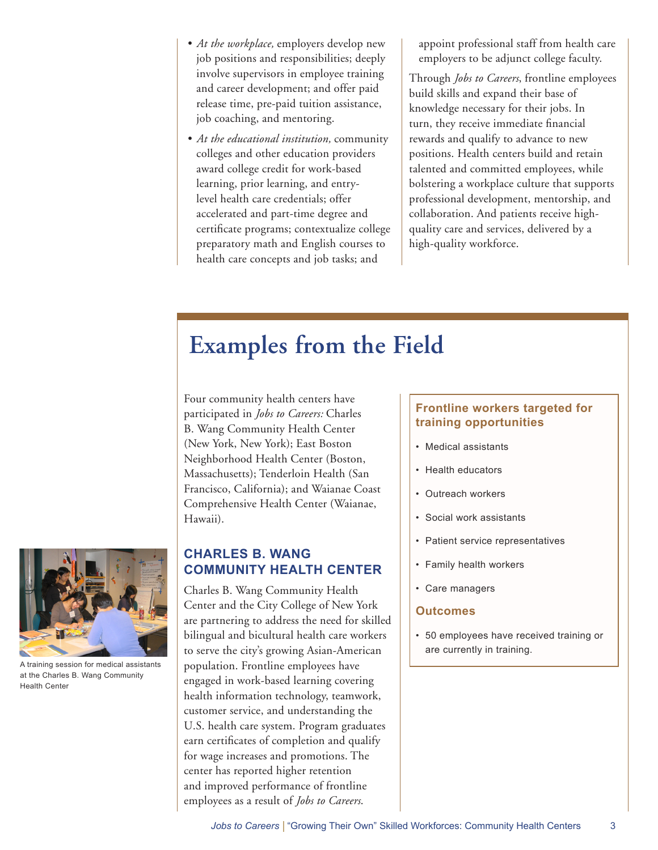- *• At the workplace,* employers develop new job positions and responsibilities; deeply involve supervisors in employee training and career development; and offer paid release time, pre-paid tuition assistance, job coaching, and mentoring.
- *• At the educational institution,* community colleges and other education providers award college credit for work-based learning, prior learning, and entrylevel health care credentials; offer accelerated and part-time degree and certificate programs; contextualize college preparatory math and English courses to health care concepts and job tasks; and

appoint professional staff from health care employers to be adjunct college faculty.

Through *Jobs to Careers*, frontline employees build skills and expand their base of knowledge necessary for their jobs. In turn, they receive immediate financial rewards and qualify to advance to new positions. Health centers build and retain talented and committed employees, while bolstering a workplace culture that supports professional development, mentorship, and collaboration. And patients receive highquality care and services, delivered by a high-quality workforce.

## **Examples from the Field**

Four community health centers have participated in *Jobs to Careers:* Charles B. Wang Community Health Center (New York, New York); East Boston Neighborhood Health Center (Boston, Massachusetts); Tenderloin Health (San Francisco, California); and Waianae Coast Comprehensive Health Center (Waianae, Hawaii).

#### **CHARLES B. WANG COMMUNITY HEALTH CENTER**

Charles B. Wang Community Health Center and the City College of New York are partnering to address the need for skilled bilingual and bicultural health care workers to serve the city's growing Asian-American population. Frontline employees have engaged in work-based learning covering health information technology, teamwork, customer service, and understanding the U.S. health care system. Program graduates earn certificates of completion and qualify for wage increases and promotions. The center has reported higher retention and improved performance of frontline employees as a result of *Jobs to Careers*.

#### **Frontline workers targeted for training opportunities**

- Medical assistants
- Health educators
- Outreach workers
- Social work assistants
- Patient service representatives
- Family health workers
- Care managers

#### **Outcomes**

• 50 employees have received training or are currently in training.



A training session for medical assistants at the Charles B. Wang Community Health Center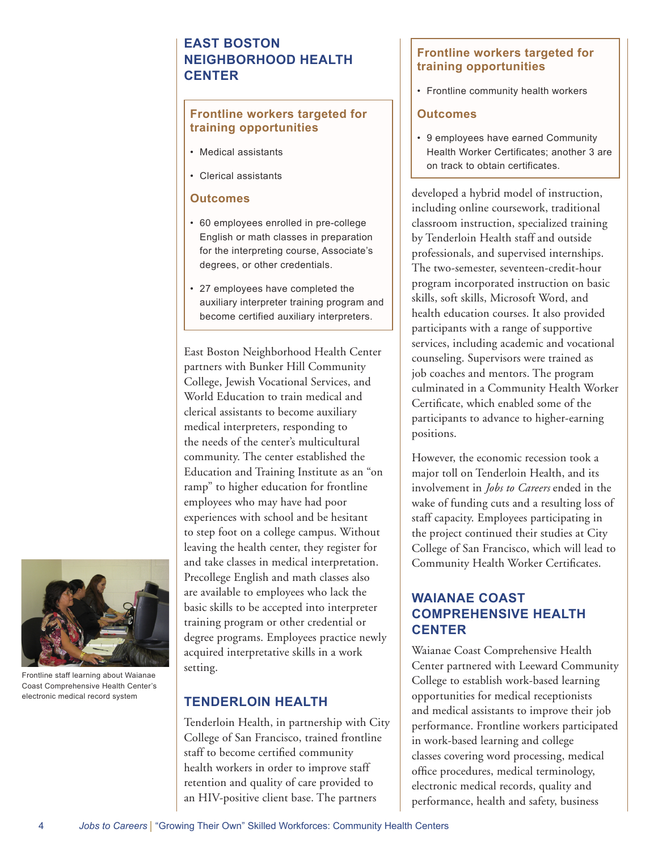#### **EAST BOSTON NEIGHBORHOOD HEALTH CENTER**

#### **Frontline workers targeted for training opportunities**

- Medical assistants
- Clerical assistants

#### **Outcomes**

- 60 employees enrolled in pre-college English or math classes in preparation for the interpreting course, Associate's degrees, or other credentials.
- 27 employees have completed the auxiliary interpreter training program and become certified auxiliary interpreters.

East Boston Neighborhood Health Center partners with Bunker Hill Community College, Jewish Vocational Services, and World Education to train medical and clerical assistants to become auxiliary medical interpreters, responding to the needs of the center's multicultural community. The center established the Education and Training Institute as an "on ramp" to higher education for frontline employees who may have had poor experiences with school and be hesitant to step foot on a college campus. Without leaving the health center, they register for and take classes in medical interpretation. Precollege English and math classes also are available to employees who lack the basic skills to be accepted into interpreter training program or other credential or degree programs. Employees practice newly acquired interpretative skills in a work setting.

#### **TENDERLOIN HEALTH**

Tenderloin Health, in partnership with City College of San Francisco, trained frontline staff to become certified community health workers in order to improve staff retention and quality of care provided to an HIV-positive client base. The partners

#### **Frontline workers targeted for training opportunities**

• Frontline community health workers

#### **Outcomes**

• 9 employees have earned Community Health Worker Certificates; another 3 are on track to obtain certificates.

developed a hybrid model of instruction, including online coursework, traditional classroom instruction, specialized training by Tenderloin Health staff and outside professionals, and supervised internships. The two-semester, seventeen-credit-hour program incorporated instruction on basic skills, soft skills, Microsoft Word, and health education courses. It also provided participants with a range of supportive services, including academic and vocational counseling. Supervisors were trained as job coaches and mentors. The program culminated in a Community Health Worker Certificate, which enabled some of the participants to advance to higher-earning positions.

However, the economic recession took a major toll on Tenderloin Health, and its involvement in *Jobs to Careers* ended in the wake of funding cuts and a resulting loss of staff capacity. Employees participating in the project continued their studies at City College of San Francisco, which will lead to Community Health Worker Certificates.

#### **WAIANAE COAST COMPREHENSIVE HEALTH CENTER**

Waianae Coast Comprehensive Health Center partnered with Leeward Community College to establish work-based learning opportunities for medical receptionists and medical assistants to improve their job performance. Frontline workers participated in work-based learning and college classes covering word processing, medical office procedures, medical terminology, electronic medical records, quality and performance, health and safety, business



Frontline staff learning about Waianae Coast Comprehensive Health Center's electronic medical record system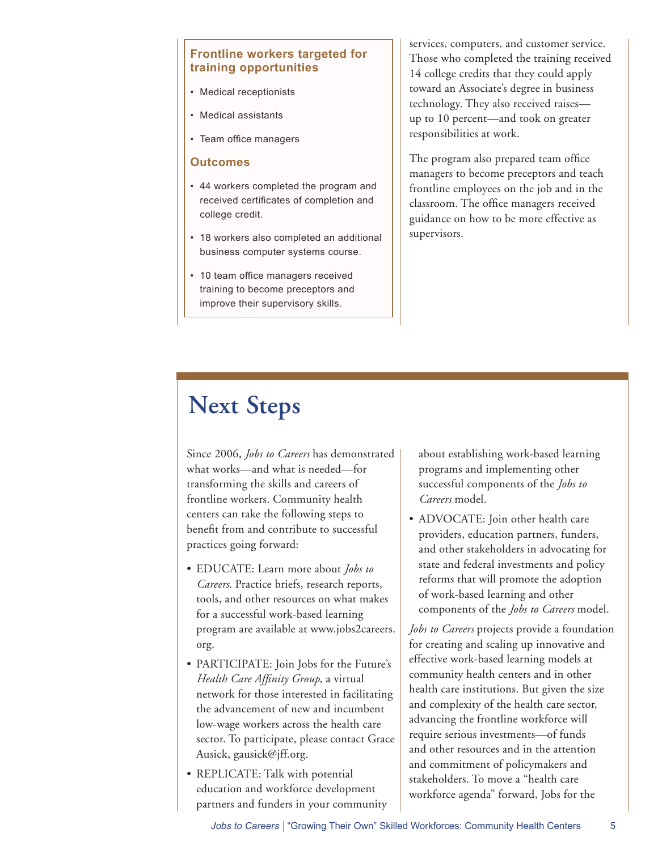#### **Frontline workers targeted for training opportunities**

- Medical receptionists
- Medical assistants
- Team office managers

#### **Outcomes**

- 44 workers completed the program and received certificates of completion and college credit.
- 18 workers also completed an additional business computer systems course.
- 10 team office managers received training to become preceptors and improve their supervisory skills.

services, computers, and customer service. Those who completed the training received 14 college credits that they could apply toward an Associate's degree in business technology. They also received raises up to 10 percent—and took on greater responsibilities at work.

The program also prepared team office managers to become preceptors and teach frontline employees on the job and in the classroom. The office managers received guidance on how to be more effective as supervisors.

## **Next Steps**

Since 2006, *Jobs to Careers* has demonstrated what works—and what is needed—for transforming the skills and careers of frontline workers. Community health centers can take the following steps to benefit from and contribute to successful practices going forward:

- EDUCATE: Learn more about *Jobs to Careers*. Practice briefs, research reports, tools, and other resources on what makes for a successful work-based learning program are available at www.jobs2careers. org.
- PARTICIPATE: Join Jobs for the Future's *Health Care Affinity Group*, a virtual network for those interested in facilitating the advancement of new and incumbent low-wage workers across the health care sector. To participate, please contact Grace Ausick, gausick@jff.org.
- REPLICATE: Talk with potential education and workforce development partners and funders in your community

about establishing work-based learning programs and implementing other successful components of the *Jobs to Careers* model.

• ADVOCATE: Join other health care providers, education partners, funders, and other stakeholders in advocating for state and federal investments and policy reforms that will promote the adoption of work-based learning and other components of the *Jobs to Careers* model.

*Jobs to Careers* projects provide a foundation for creating and scaling up innovative and effective work-based learning models at community health centers and in other health care institutions. But given the size and complexity of the health care sector, advancing the frontline workforce will require serious investments—of funds and other resources and in the attention and commitment of policymakers and stakeholders. To move a "health care workforce agenda" forward, Jobs for the